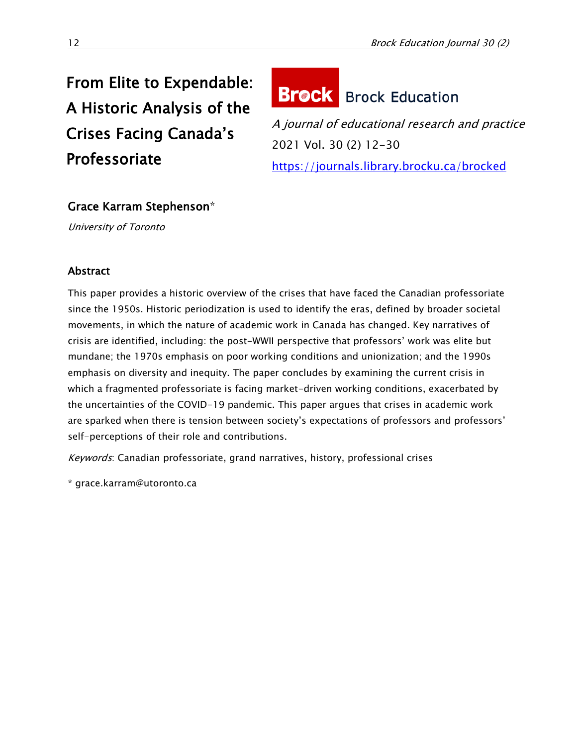# From Elite to Expendable: A Historic Analysis of the Crises Facing Canada's Professoriate

# **Brock** Brock Education

A journal of educational research and practice 2021 Vol. 30 (2) 12-30 <https://journals.library.brocku.ca/brocked>

# Grace Karram Stephenson\*

University of Toronto

# Abstract

This paper provides a historic overview of the crises that have faced the Canadian professoriate since the 1950s. Historic periodization is used to identify the eras, defined by broader societal movements, in which the nature of academic work in Canada has changed. Key narratives of crisis are identified, including: the post-WWII perspective that professors' work was elite but mundane; the 1970s emphasis on poor working conditions and unionization; and the 1990s emphasis on diversity and inequity. The paper concludes by examining the current crisis in which a fragmented professoriate is facing market-driven working conditions, exacerbated by the uncertainties of the COVID-19 pandemic. This paper argues that crises in academic work are sparked when there is tension between society's expectations of professors and professors' self-perceptions of their role and contributions.

Keywords: Canadian professoriate, grand narratives, history, professional crises

\* grace.karram@utoronto.ca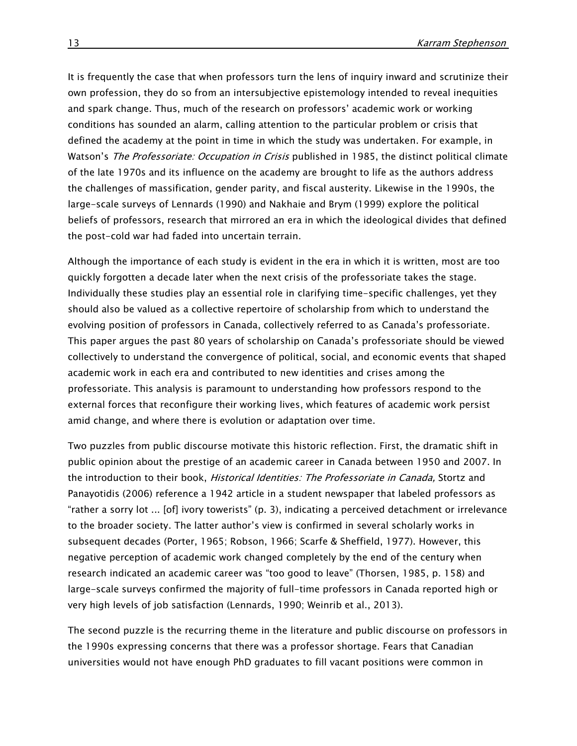It is frequently the case that when professors turn the lens of inquiry inward and scrutinize their own profession, they do so from an intersubjective epistemology intended to reveal inequities and spark change. Thus, much of the research on professors' academic work or working conditions has sounded an alarm, calling attention to the particular problem or crisis that defined the academy at the point in time in which the study was undertaken. For example, in Watson's *The Professoriate: Occupation in Crisis* published in 1985, the distinct political climate of the late 1970s and its influence on the academy are brought to life as the authors address the challenges of massification, gender parity, and fiscal austerity. Likewise in the 1990s, the large-scale surveys of Lennards (1990) and Nakhaie and Brym (1999) explore the political beliefs of professors, research that mirrored an era in which the ideological divides that defined the post-cold war had faded into uncertain terrain.

Although the importance of each study is evident in the era in which it is written, most are too quickly forgotten a decade later when the next crisis of the professoriate takes the stage. Individually these studies play an essential role in clarifying time-specific challenges, yet they should also be valued as a collective repertoire of scholarship from which to understand the evolving position of professors in Canada, collectively referred to as Canada's professoriate. This paper argues the past 80 years of scholarship on Canada's professoriate should be viewed collectively to understand the convergence of political, social, and economic events that shaped academic work in each era and contributed to new identities and crises among the professoriate. This analysis is paramount to understanding how professors respond to the external forces that reconfigure their working lives, which features of academic work persist amid change, and where there is evolution or adaptation over time.

Two puzzles from public discourse motivate this historic reflection. First, the dramatic shift in public opinion about the prestige of an academic career in Canada between 1950 and 2007. In the introduction to their book, *Historical Identities: The Professoriate in Canada*, Stortz and Panayotidis (2006) reference a 1942 article in a student newspaper that labeled professors as "rather a sorry lot ... [of] ivory towerists" (p. 3), indicating a perceived detachment or irrelevance to the broader society. The latter author's view is confirmed in several scholarly works in subsequent decades (Porter, 1965; Robson, 1966; Scarfe & Sheffield, 1977). However, this negative perception of academic work changed completely by the end of the century when research indicated an academic career was "too good to leave" (Thorsen, 1985, p. 158) and large-scale surveys confirmed the majority of full-time professors in Canada reported high or very high levels of job satisfaction (Lennards, 1990; Weinrib et al., 2013).

The second puzzle is the recurring theme in the literature and public discourse on professors in the 1990s expressing concerns that there was a professor shortage. Fears that Canadian universities would not have enough PhD graduates to fill vacant positions were common in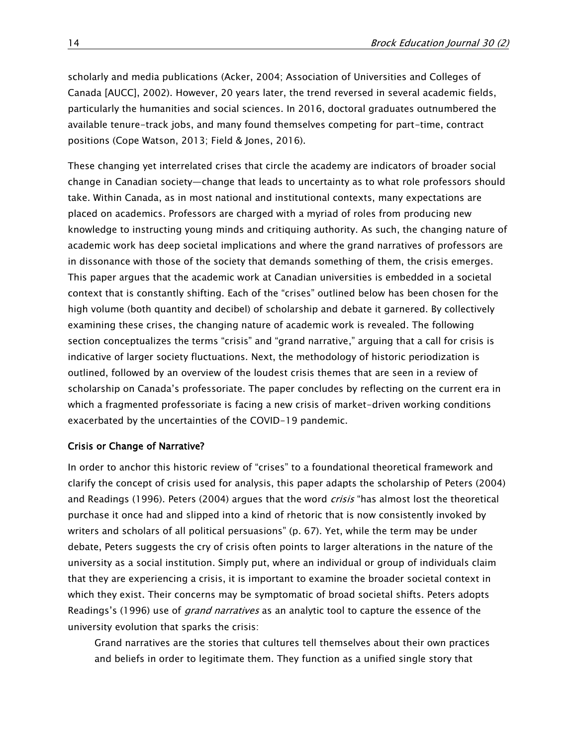scholarly and media publications (Acker, 2004; Association of Universities and Colleges of Canada [AUCC], 2002). However, 20 years later, the trend reversed in several academic fields, particularly the humanities and social sciences. In 2016, doctoral graduates outnumbered the available tenure-track jobs, and many found themselves competing for part-time, contract positions (Cope Watson, 2013; Field & Jones, 2016).

These changing yet interrelated crises that circle the academy are indicators of broader social change in Canadian society—change that leads to uncertainty as to what role professors should take. Within Canada, as in most national and institutional contexts, many expectations are placed on academics. Professors are charged with a myriad of roles from producing new knowledge to instructing young minds and critiquing authority. As such, the changing nature of academic work has deep societal implications and where the grand narratives of professors are in dissonance with those of the society that demands something of them, the crisis emerges. This paper argues that the academic work at Canadian universities is embedded in a societal context that is constantly shifting. Each of the "crises" outlined below has been chosen for the high volume (both quantity and decibel) of scholarship and debate it garnered. By collectively examining these crises, the changing nature of academic work is revealed. The following section conceptualizes the terms "crisis" and "grand narrative," arguing that a call for crisis is indicative of larger society fluctuations. Next, the methodology of historic periodization is outlined, followed by an overview of the loudest crisis themes that are seen in a review of scholarship on Canada's professoriate. The paper concludes by reflecting on the current era in which a fragmented professoriate is facing a new crisis of market-driven working conditions exacerbated by the uncertainties of the COVID-19 pandemic.

#### Crisis or Change of Narrative?

In order to anchor this historic review of "crises" to a foundational theoretical framework and clarify the concept of crisis used for analysis, this paper adapts the scholarship of Peters (2004) and Readings (1996). Peters (2004) argues that the word *crisis* "has almost lost the theoretical purchase it once had and slipped into a kind of rhetoric that is now consistently invoked by writers and scholars of all political persuasions" (p. 67). Yet, while the term may be under debate, Peters suggests the cry of crisis often points to larger alterations in the nature of the university as a social institution. Simply put, where an individual or group of individuals claim that they are experiencing a crisis, it is important to examine the broader societal context in which they exist. Their concerns may be symptomatic of broad societal shifts. Peters adopts Readings's (1996) use of *grand narratives* as an analytic tool to capture the essence of the university evolution that sparks the crisis:

Grand narratives are the stories that cultures tell themselves about their own practices and beliefs in order to legitimate them. They function as a unified single story that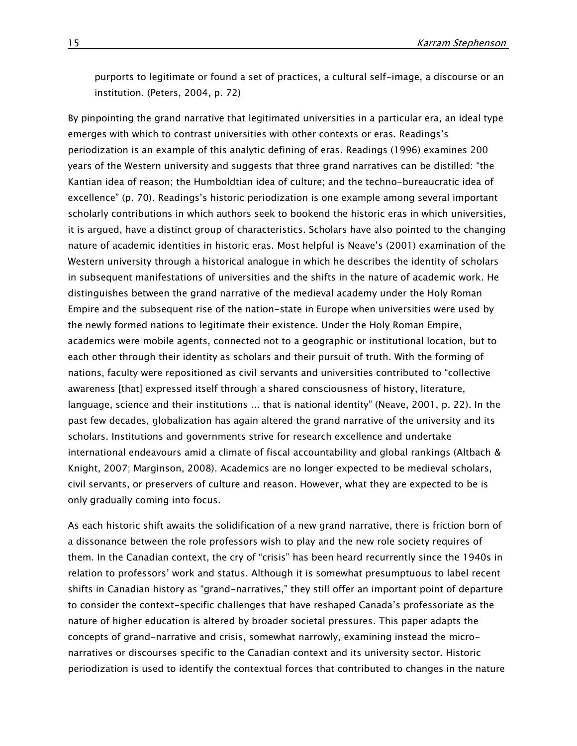purports to legitimate or found a set of practices, a cultural self-image, a discourse or an institution. (Peters, 2004, p. 72)

By pinpointing the grand narrative that legitimated universities in a particular era, an ideal type emerges with which to contrast universities with other contexts or eras. Readings's periodization is an example of this analytic defining of eras. Readings (1996) examines 200 years of the Western university and suggests that three grand narratives can be distilled: "the Kantian idea of reason; the Humboldtian idea of culture; and the techno-bureaucratic idea of excellence" (p. 70). Readings's historic periodization is one example among several important scholarly contributions in which authors seek to bookend the historic eras in which universities, it is argued, have a distinct group of characteristics. Scholars have also pointed to the changing nature of academic identities in historic eras. Most helpful is Neave's (2001) examination of the Western university through a historical analogue in which he describes the identity of scholars in subsequent manifestations of universities and the shifts in the nature of academic work. He distinguishes between the grand narrative of the medieval academy under the Holy Roman Empire and the subsequent rise of the nation-state in Europe when universities were used by the newly formed nations to legitimate their existence. Under the Holy Roman Empire, academics were mobile agents, connected not to a geographic or institutional location, but to each other through their identity as scholars and their pursuit of truth. With the forming of nations, faculty were repositioned as civil servants and universities contributed to "collective awareness [that] expressed itself through a shared consciousness of history, literature, language, science and their institutions ... that is national identity" (Neave, 2001, p. 22). In the past few decades, globalization has again altered the grand narrative of the university and its scholars. Institutions and governments strive for research excellence and undertake international endeavours amid a climate of fiscal accountability and global rankings (Altbach & Knight, 2007; Marginson, 2008). Academics are no longer expected to be medieval scholars, civil servants, or preservers of culture and reason. However, what they are expected to be is only gradually coming into focus.

As each historic shift awaits the solidification of a new grand narrative, there is friction born of a dissonance between the role professors wish to play and the new role society requires of them. In the Canadian context, the cry of "crisis" has been heard recurrently since the 1940s in relation to professors' work and status. Although it is somewhat presumptuous to label recent shifts in Canadian history as "grand-narratives," they still offer an important point of departure to consider the context-specific challenges that have reshaped Canada's professoriate as the nature of higher education is altered by broader societal pressures. This paper adapts the concepts of grand-narrative and crisis, somewhat narrowly, examining instead the micronarratives or discourses specific to the Canadian context and its university sector. Historic periodization is used to identify the contextual forces that contributed to changes in the nature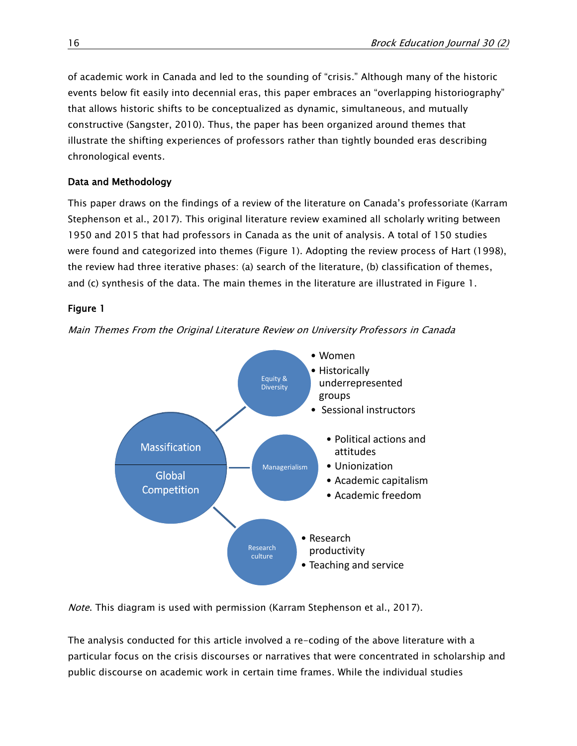of academic work in Canada and led to the sounding of "crisis." Although many of the historic events below fit easily into decennial eras, this paper embraces an "overlapping historiography" that allows historic shifts to be conceptualized as dynamic, simultaneous, and mutually constructive (Sangster, 2010). Thus, the paper has been organized around themes that illustrate the shifting experiences of professors rather than tightly bounded eras describing chronological events.

# Data and Methodology

This paper draws on the findings of a review of the literature on Canada's professoriate (Karram Stephenson et al., 2017). This original literature review examined all scholarly writing between 1950 and 2015 that had professors in Canada as the unit of analysis. A total of 150 studies were found and categorized into themes (Figure 1). Adopting the review process of Hart (1998), the review had three iterative phases: (a) search of the literature, (b) classification of themes, and (c) synthesis of the data. The main themes in the literature are illustrated in Figure 1.

# Figure 1



Main Themes From the Original Literature Review on University Professors in Canada

Note. This diagram is used with permission (Karram Stephenson et al., 2017).

The analysis conducted for this article involved a re-coding of the above literature with a particular focus on the crisis discourses or narratives that were concentrated in scholarship and public discourse on academic work in certain time frames. While the individual studies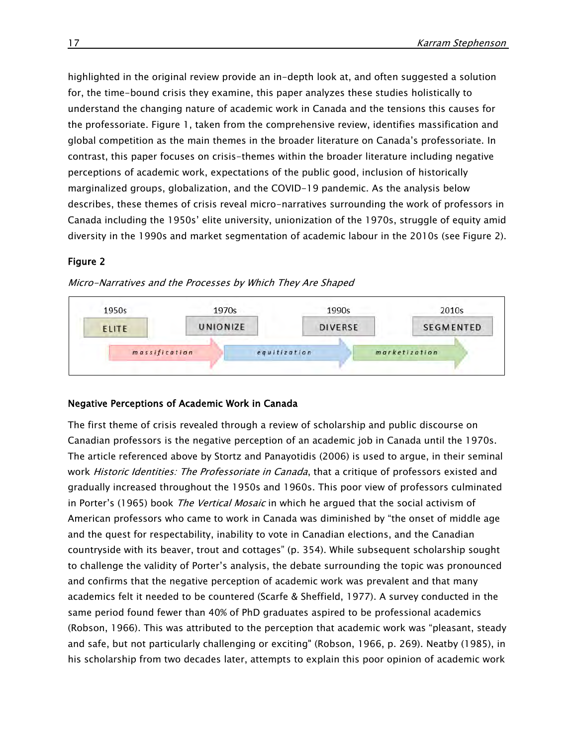highlighted in the original review provide an in-depth look at, and often suggested a solution for, the time-bound crisis they examine, this paper analyzes these studies holistically to understand the changing nature of academic work in Canada and the tensions this causes for the professoriate. Figure 1, taken from the comprehensive review, identifies massification and global competition as the main themes in the broader literature on Canada's professoriate. In contrast, this paper focuses on crisis-themes within the broader literature including negative perceptions of academic work, expectations of the public good, inclusion of historically marginalized groups, globalization, and the COVID-19 pandemic. As the analysis below describes, these themes of crisis reveal micro-narratives surrounding the work of professors in Canada including the 1950s' elite university, unionization of the 1970s, struggle of equity amid diversity in the 1990s and market segmentation of academic labour in the 2010s (see Figure 2).

# Figure 2

#### Micro-Narratives and the Processes by Which They Are Shaped



# Negative Perceptions of Academic Work in Canada

The first theme of crisis revealed through a review of scholarship and public discourse on Canadian professors is the negative perception of an academic job in Canada until the 1970s. The article referenced above by Stortz and Panayotidis (2006) is used to argue, in their seminal work *Historic Identities: The Professoriate in Canada*, that a critique of professors existed and gradually increased throughout the 1950s and 1960s. This poor view of professors culminated in Porter's (1965) book The Vertical Mosaic in which he argued that the social activism of American professors who came to work in Canada was diminished by "the onset of middle age and the quest for respectability, inability to vote in Canadian elections, and the Canadian countryside with its beaver, trout and cottages" (p. 354). While subsequent scholarship sought to challenge the validity of Porter's analysis, the debate surrounding the topic was pronounced and confirms that the negative perception of academic work was prevalent and that many academics felt it needed to be countered (Scarfe & Sheffield, 1977). A survey conducted in the same period found fewer than 40% of PhD graduates aspired to be professional academics (Robson, 1966). This was attributed to the perception that academic work was "pleasant, steady and safe, but not particularly challenging or exciting" (Robson, 1966, p. 269). Neatby (1985), in his scholarship from two decades later, attempts to explain this poor opinion of academic work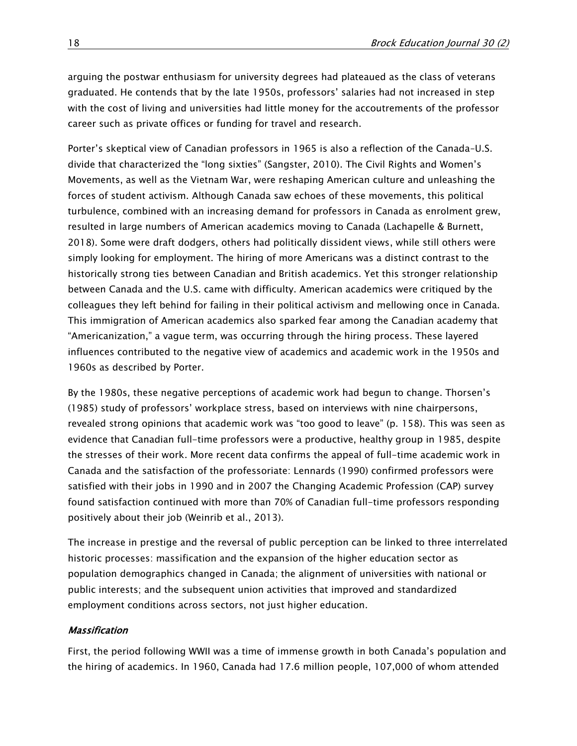arguing the postwar enthusiasm for university degrees had plateaued as the class of veterans graduated. He contends that by the late 1950s, professors' salaries had not increased in step with the cost of living and universities had little money for the accoutrements of the professor career such as private offices or funding for travel and research.

Porter's skeptical view of Canadian professors in 1965 is also a reflection of the Canada–U.S. divide that characterized the "long sixties" (Sangster, 2010). The Civil Rights and Women's Movements, as well as the Vietnam War, were reshaping American culture and unleashing the forces of student activism. Although Canada saw echoes of these movements, this political turbulence, combined with an increasing demand for professors in Canada as enrolment grew, resulted in large numbers of American academics moving to Canada (Lachapelle & Burnett, 2018). Some were draft dodgers, others had politically dissident views, while still others were simply looking for employment. The hiring of more Americans was a distinct contrast to the historically strong ties between Canadian and British academics. Yet this stronger relationship between Canada and the U.S. came with difficulty. American academics were critiqued by the colleagues they left behind for failing in their political activism and mellowing once in Canada. This immigration of American academics also sparked fear among the Canadian academy that "Americanization," a vague term, was occurring through the hiring process. These layered influences contributed to the negative view of academics and academic work in the 1950s and 1960s as described by Porter.

By the 1980s, these negative perceptions of academic work had begun to change. Thorsen's (1985) study of professors' workplace stress, based on interviews with nine chairpersons, revealed strong opinions that academic work was "too good to leave" (p. 158). This was seen as evidence that Canadian full-time professors were a productive, healthy group in 1985, despite the stresses of their work. More recent data confirms the appeal of full-time academic work in Canada and the satisfaction of the professoriate: Lennards (1990) confirmed professors were satisfied with their jobs in 1990 and in 2007 the Changing Academic Profession (CAP) survey found satisfaction continued with more than 70% of Canadian full-time professors responding positively about their job (Weinrib et al., 2013).

The increase in prestige and the reversal of public perception can be linked to three interrelated historic processes: massification and the expansion of the higher education sector as population demographics changed in Canada; the alignment of universities with national or public interests; and the subsequent union activities that improved and standardized employment conditions across sectors, not just higher education.

# Massification

First, the period following WWII was a time of immense growth in both Canada's population and the hiring of academics. In 1960, Canada had 17.6 million people, 107,000 of whom attended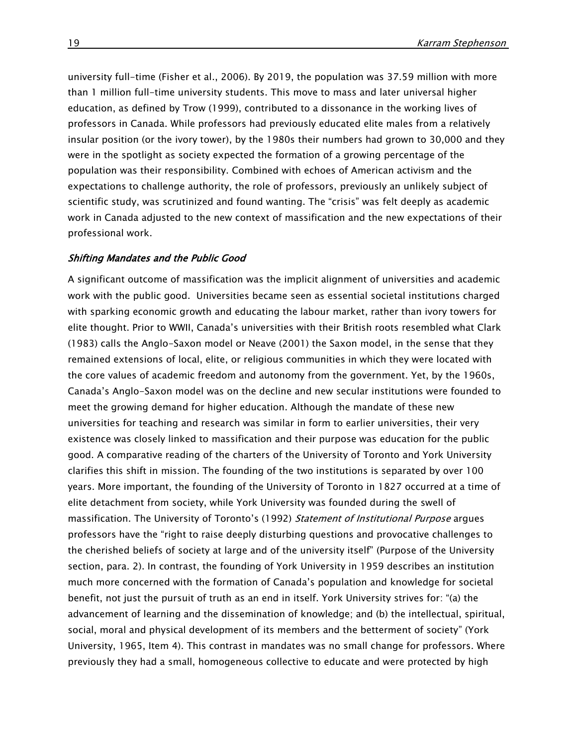university full-time (Fisher et al., 2006). By 2019, the population was 37.59 million with more than 1 million full-time university students. This move to mass and later universal higher education, as defined by Trow (1999), contributed to a dissonance in the working lives of professors in Canada. While professors had previously educated elite males from a relatively insular position (or the ivory tower), by the 1980s their numbers had grown to 30,000 and they were in the spotlight as society expected the formation of a growing percentage of the population was their responsibility. Combined with echoes of American activism and the expectations to challenge authority, the role of professors, previously an unlikely subject of scientific study, was scrutinized and found wanting. The "crisis" was felt deeply as academic work in Canada adjusted to the new context of massification and the new expectations of their professional work.

#### Shifting Mandates and the Public Good

A significant outcome of massification was the implicit alignment of universities and academic work with the public good. Universities became seen as essential societal institutions charged with sparking economic growth and educating the labour market, rather than ivory towers for elite thought. Prior to WWII, Canada's universities with their British roots resembled what Clark (1983) calls the Anglo-Saxon model or Neave (2001) the Saxon model, in the sense that they remained extensions of local, elite, or religious communities in which they were located with the core values of academic freedom and autonomy from the government. Yet, by the 1960s, Canada's Anglo-Saxon model was on the decline and new secular institutions were founded to meet the growing demand for higher education. Although the mandate of these new universities for teaching and research was similar in form to earlier universities, their very existence was closely linked to massification and their purpose was education for the public good. A comparative reading of the charters of the University of Toronto and York University clarifies this shift in mission. The founding of the two institutions is separated by over 100 years. More important, the founding of the University of Toronto in 1827 occurred at a time of elite detachment from society, while York University was founded during the swell of massification. The University of Toronto's (1992) Statement of Institutional Purpose argues professors have the "right to raise deeply disturbing questions and provocative challenges to the cherished beliefs of society at large and of the university itself" (Purpose of the University section, para. 2). In contrast, the founding of York University in 1959 describes an institution much more concerned with the formation of Canada's population and knowledge for societal benefit, not just the pursuit of truth as an end in itself. York University strives for: "(a) the advancement of learning and the dissemination of knowledge; and (b) the intellectual, spiritual, social, moral and physical development of its members and the betterment of society" (York University, 1965, Item 4). This contrast in mandates was no small change for professors. Where previously they had a small, homogeneous collective to educate and were protected by high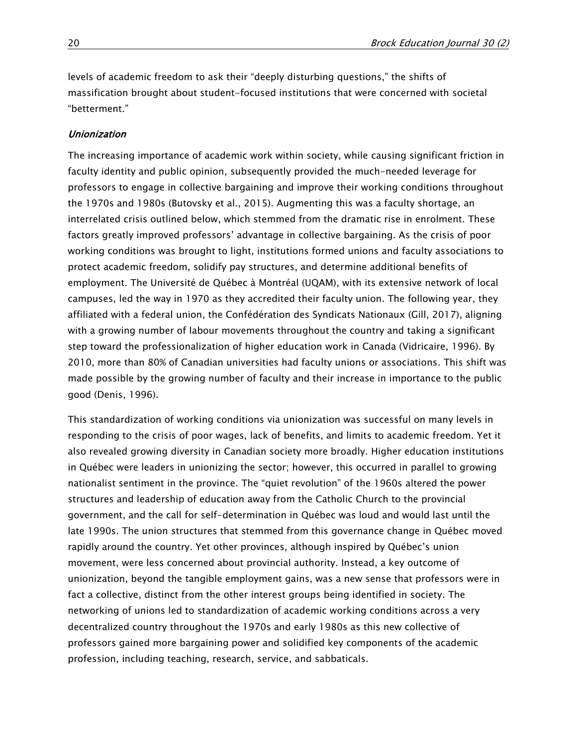levels of academic freedom to ask their "deeply disturbing questions," the shifts of massification brought about student-focused institutions that were concerned with societal "betterment."

#### Unionization

The increasing importance of academic work within society, while causing significant friction in faculty identity and public opinion, subsequently provided the much-needed leverage for professors to engage in collective bargaining and improve their working conditions throughout the 1970s and 1980s (Butovsky et al., 2015). Augmenting this was a faculty shortage, an interrelated crisis outlined below, which stemmed from the dramatic rise in enrolment. These factors greatly improved professors' advantage in collective bargaining. As the crisis of poor working conditions was brought to light, institutions formed unions and faculty associations to protect academic freedom, solidify pay structures, and determine additional benefits of employment. The Université de Québec à Montréal (UQAM), with its extensive network of local campuses, led the way in 1970 as they accredited their faculty union. The following year, they affiliated with a federal union, the Confédération des Syndicats Nationaux (Gill, 2017), aligning with a growing number of labour movements throughout the country and taking a significant step toward the professionalization of higher education work in Canada (Vidricaire, 1996). By 2010, more than 80% of Canadian universities had faculty unions or associations. This shift was made possible by the growing number of faculty and their increase in importance to the public good (Denis, 1996).

This standardization of working conditions via unionization was successful on many levels in responding to the crisis of poor wages, lack of benefits, and limits to academic freedom. Yet it also revealed growing diversity in Canadian society more broadly. Higher education institutions in Québec were leaders in unionizing the sector; however, this occurred in parallel to growing nationalist sentiment in the province. The "quiet revolution" of the 1960s altered the power structures and leadership of education away from the Catholic Church to the provincial government, and the call for self-determination in Québec was loud and would last until the late 1990s. The union structures that stemmed from this governance change in Québec moved rapidly around the country. Yet other provinces, although inspired by Québec's union movement, were less concerned about provincial authority. Instead, a key outcome of unionization, beyond the tangible employment gains, was a new sense that professors were in fact a collective, distinct from the other interest groups being identified in society. The networking of unions led to standardization of academic working conditions across a very decentralized country throughout the 1970s and early 1980s as this new collective of professors gained more bargaining power and solidified key components of the academic profession, including teaching, research, service, and sabbaticals.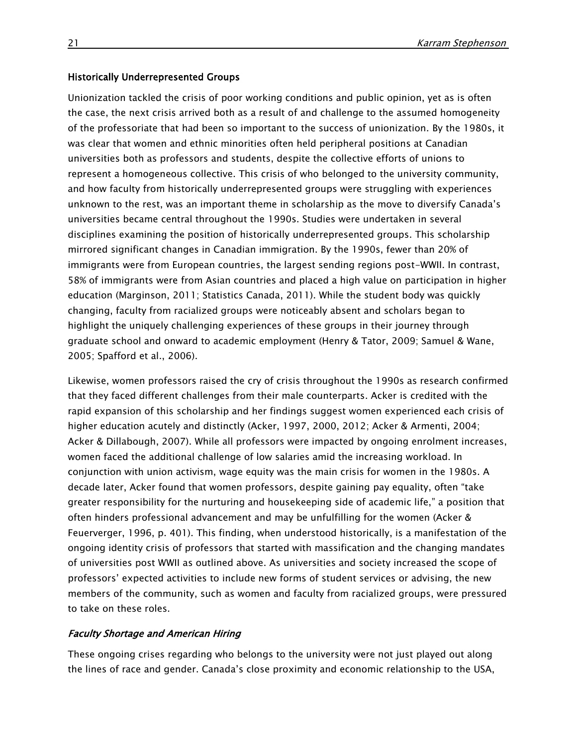#### Historically Underrepresented Groups

Unionization tackled the crisis of poor working conditions and public opinion, yet as is often the case, the next crisis arrived both as a result of and challenge to the assumed homogeneity of the professoriate that had been so important to the success of unionization. By the 1980s, it was clear that women and ethnic minorities often held peripheral positions at Canadian universities both as professors and students, despite the collective efforts of unions to represent a homogeneous collective. This crisis of who belonged to the university community, and how faculty from historically underrepresented groups were struggling with experiences unknown to the rest, was an important theme in scholarship as the move to diversify Canada's universities became central throughout the 1990s. Studies were undertaken in several disciplines examining the position of historically underrepresented groups. This scholarship mirrored significant changes in Canadian immigration. By the 1990s, fewer than 20% of immigrants were from European countries, the largest sending regions post-WWII. In contrast, 58% of immigrants were from Asian countries and placed a high value on participation in higher education (Marginson, 2011; Statistics Canada, 2011). While the student body was quickly changing, faculty from racialized groups were noticeably absent and scholars began to highlight the uniquely challenging experiences of these groups in their journey through graduate school and onward to academic employment (Henry & Tator, 2009; Samuel & Wane, 2005; Spafford et al., 2006).

Likewise, women professors raised the cry of crisis throughout the 1990s as research confirmed that they faced different challenges from their male counterparts. Acker is credited with the rapid expansion of this scholarship and her findings suggest women experienced each crisis of higher education acutely and distinctly (Acker, 1997, 2000, 2012; Acker & Armenti, 2004; Acker & Dillabough, 2007). While all professors were impacted by ongoing enrolment increases, women faced the additional challenge of low salaries amid the increasing workload. In conjunction with union activism, wage equity was the main crisis for women in the 1980s. A decade later, Acker found that women professors, despite gaining pay equality, often "take greater responsibility for the nurturing and housekeeping side of academic life," a position that often hinders professional advancement and may be unfulfilling for the women (Acker & Feuerverger, 1996, p. 401). This finding, when understood historically, is a manifestation of the ongoing identity crisis of professors that started with massification and the changing mandates of universities post WWII as outlined above. As universities and society increased the scope of professors' expected activities to include new forms of student services or advising, the new members of the community, such as women and faculty from racialized groups, were pressured to take on these roles.

#### Faculty Shortage and American Hiring

These ongoing crises regarding who belongs to the university were not just played out along the lines of race and gender. Canada's close proximity and economic relationship to the USA,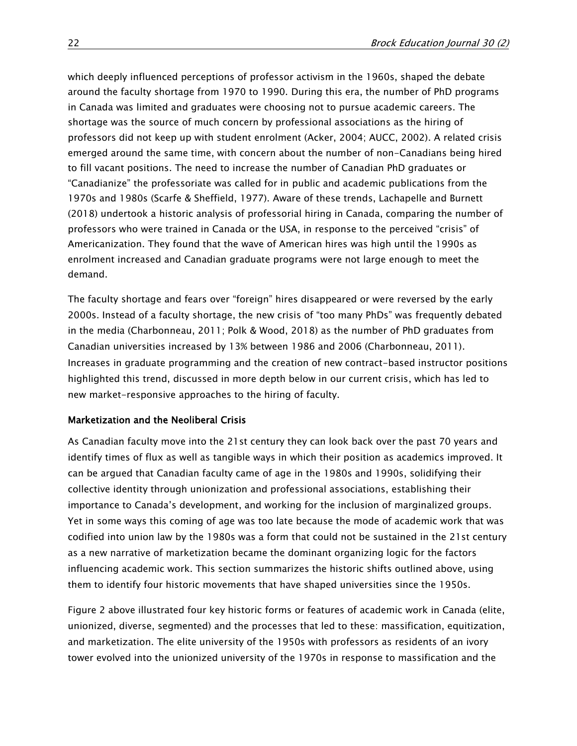which deeply influenced perceptions of professor activism in the 1960s, shaped the debate around the faculty shortage from 1970 to 1990. During this era, the number of PhD programs in Canada was limited and graduates were choosing not to pursue academic careers. The shortage was the source of much concern by professional associations as the hiring of professors did not keep up with student enrolment (Acker, 2004; AUCC, 2002). A related crisis emerged around the same time, with concern about the number of non-Canadians being hired to fill vacant positions. The need to increase the number of Canadian PhD graduates or "Canadianize" the professoriate was called for in public and academic publications from the 1970s and 1980s (Scarfe & Sheffield, 1977). Aware of these trends, Lachapelle and Burnett (2018) undertook a historic analysis of professorial hiring in Canada, comparing the number of professors who were trained in Canada or the USA, in response to the perceived "crisis" of Americanization. They found that the wave of American hires was high until the 1990s as enrolment increased and Canadian graduate programs were not large enough to meet the demand.

The faculty shortage and fears over "foreign" hires disappeared or were reversed by the early 2000s. Instead of a faculty shortage, the new crisis of "too many PhDs" was frequently debated in the media (Charbonneau, 2011; Polk & Wood, 2018) as the number of PhD graduates from Canadian universities increased by 13% between 1986 and 2006 (Charbonneau, 2011). Increases in graduate programming and the creation of new contract-based instructor positions highlighted this trend, discussed in more depth below in our current crisis, which has led to new market-responsive approaches to the hiring of faculty.

# Marketization and the Neoliberal Crisis

As Canadian faculty move into the 21st century they can look back over the past 70 years and identify times of flux as well as tangible ways in which their position as academics improved. It can be argued that Canadian faculty came of age in the 1980s and 1990s, solidifying their collective identity through unionization and professional associations, establishing their importance to Canada's development, and working for the inclusion of marginalized groups. Yet in some ways this coming of age was too late because the mode of academic work that was codified into union law by the 1980s was a form that could not be sustained in the 21st century as a new narrative of marketization became the dominant organizing logic for the factors influencing academic work. This section summarizes the historic shifts outlined above, using them to identify four historic movements that have shaped universities since the 1950s.

Figure 2 above illustrated four key historic forms or features of academic work in Canada (elite, unionized, diverse, segmented) and the processes that led to these: massification, equitization, and marketization. The elite university of the 1950s with professors as residents of an ivory tower evolved into the unionized university of the 1970s in response to massification and the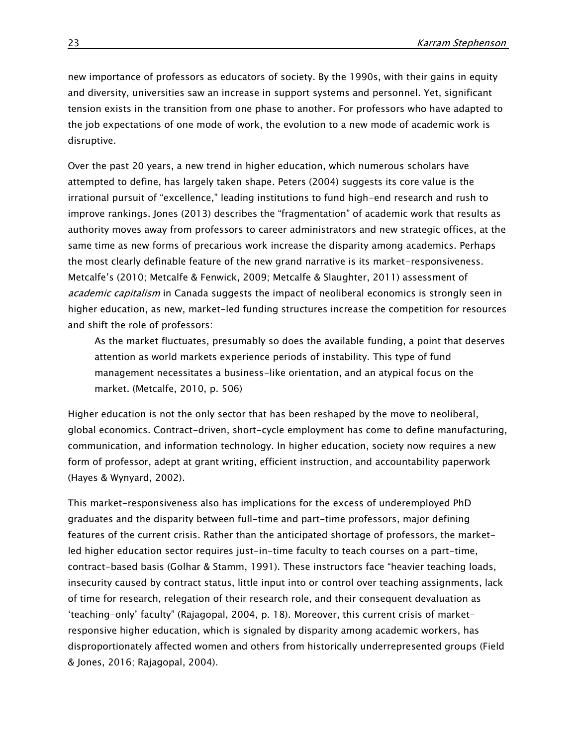new importance of professors as educators of society. By the 1990s, with their gains in equity and diversity, universities saw an increase in support systems and personnel. Yet, significant tension exists in the transition from one phase to another. For professors who have adapted to the job expectations of one mode of work, the evolution to a new mode of academic work is disruptive.

Over the past 20 years, a new trend in higher education, which numerous scholars have attempted to define, has largely taken shape. Peters (2004) suggests its core value is the irrational pursuit of "excellence," leading institutions to fund high-end research and rush to improve rankings. Jones (2013) describes the "fragmentation" of academic work that results as authority moves away from professors to career administrators and new strategic offices, at the same time as new forms of precarious work increase the disparity among academics. Perhaps the most clearly definable feature of the new grand narrative is its market-responsiveness. Metcalfe's (2010; Metcalfe & Fenwick, 2009; Metcalfe & Slaughter, 2011) assessment of *academic capitalism* in Canada suggests the impact of neoliberal economics is strongly seen in higher education, as new, market-led funding structures increase the competition for resources and shift the role of professors:

As the market fluctuates, presumably so does the available funding, a point that deserves attention as world markets experience periods of instability. This type of fund management necessitates a business-like orientation, and an atypical focus on the market. (Metcalfe, 2010, p. 506)

Higher education is not the only sector that has been reshaped by the move to neoliberal, global economics. Contract-driven, short-cycle employment has come to define manufacturing, communication, and information technology. In higher education, society now requires a new form of professor, adept at grant writing, efficient instruction, and accountability paperwork (Hayes & Wynyard, 2002).

This market-responsiveness also has implications for the excess of underemployed PhD graduates and the disparity between full-time and part-time professors, major defining features of the current crisis. Rather than the anticipated shortage of professors, the marketled higher education sector requires just-in-time faculty to teach courses on a part-time, contract-based basis (Golhar & Stamm, 1991). These instructors face "heavier teaching loads, insecurity caused by contract status, little input into or control over teaching assignments, lack of time for research, relegation of their research role, and their consequent devaluation as 'teaching-only' faculty" (Rajagopal, 2004, p. 18). Moreover, this current crisis of marketresponsive higher education, which is signaled by disparity among academic workers, has disproportionately affected women and others from historically underrepresented groups (Field & Jones, 2016; Rajagopal, 2004).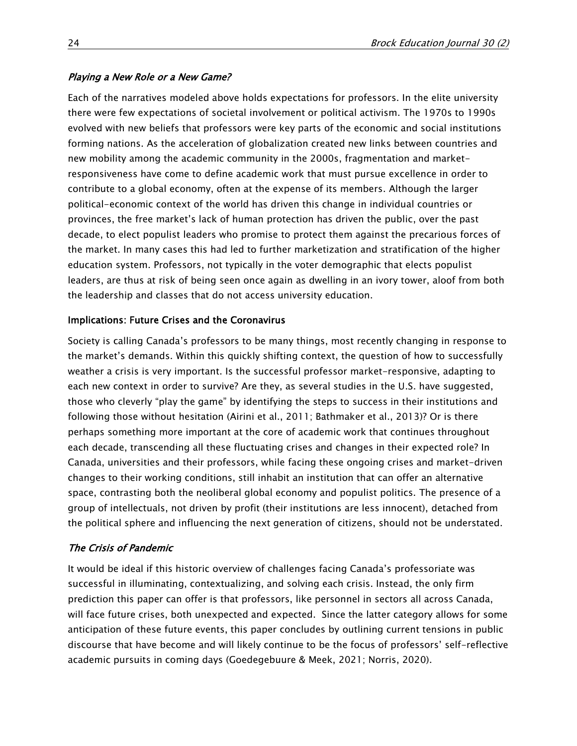# Playing a New Role or a New Game?

Each of the narratives modeled above holds expectations for professors. In the elite university there were few expectations of societal involvement or political activism. The 1970s to 1990s evolved with new beliefs that professors were key parts of the economic and social institutions forming nations. As the acceleration of globalization created new links between countries and new mobility among the academic community in the 2000s, fragmentation and marketresponsiveness have come to define academic work that must pursue excellence in order to contribute to a global economy, often at the expense of its members. Although the larger political-economic context of the world has driven this change in individual countries or provinces, the free market's lack of human protection has driven the public, over the past decade, to elect populist leaders who promise to protect them against the precarious forces of the market. In many cases this had led to further marketization and stratification of the higher education system. Professors, not typically in the voter demographic that elects populist leaders, are thus at risk of being seen once again as dwelling in an ivory tower, aloof from both the leadership and classes that do not access university education.

# Implications: Future Crises and the Coronavirus

Society is calling Canada's professors to be many things, most recently changing in response to the market's demands. Within this quickly shifting context, the question of how to successfully weather a crisis is very important. Is the successful professor market-responsive, adapting to each new context in order to survive? Are they, as several studies in the U.S. have suggested, those who cleverly "play the game" by identifying the steps to success in their institutions and following those without hesitation (Airini et al., 2011; Bathmaker et al., 2013)? Or is there perhaps something more important at the core of academic work that continues throughout each decade, transcending all these fluctuating crises and changes in their expected role? In Canada, universities and their professors, while facing these ongoing crises and market-driven changes to their working conditions, still inhabit an institution that can offer an alternative space, contrasting both the neoliberal global economy and populist politics. The presence of a group of intellectuals, not driven by profit (their institutions are less innocent), detached from the political sphere and influencing the next generation of citizens, should not be understated.

# The Crisis of Pandemic

It would be ideal if this historic overview of challenges facing Canada's professoriate was successful in illuminating, contextualizing, and solving each crisis. Instead, the only firm prediction this paper can offer is that professors, like personnel in sectors all across Canada, will face future crises, both unexpected and expected. Since the latter category allows for some anticipation of these future events, this paper concludes by outlining current tensions in public discourse that have become and will likely continue to be the focus of professors' self-reflective academic pursuits in coming days (Goedegebuure & Meek, 2021; Norris, 2020).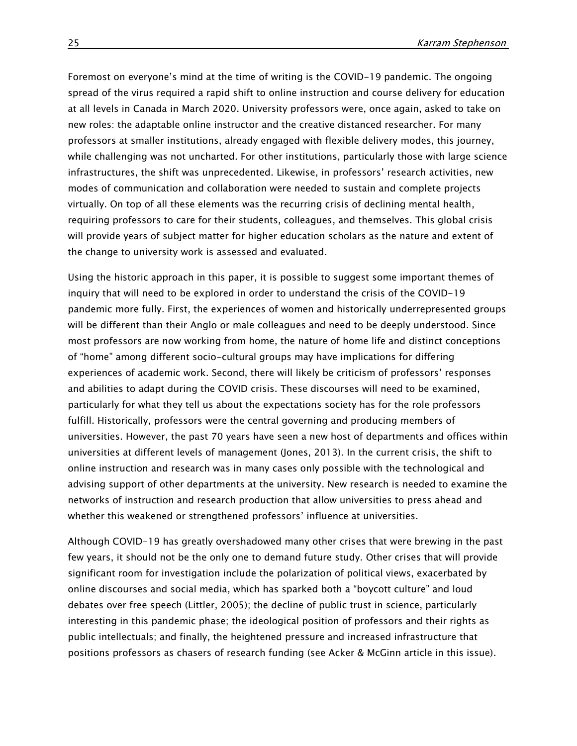Foremost on everyone's mind at the time of writing is the COVID-19 pandemic. The ongoing spread of the virus required a rapid shift to online instruction and course delivery for education at all levels in Canada in March 2020. University professors were, once again, asked to take on new roles: the adaptable online instructor and the creative distanced researcher. For many professors at smaller institutions, already engaged with flexible delivery modes, this journey, while challenging was not uncharted. For other institutions, particularly those with large science infrastructures, the shift was unprecedented. Likewise, in professors' research activities, new modes of communication and collaboration were needed to sustain and complete projects virtually. On top of all these elements was the recurring crisis of declining mental health, requiring professors to care for their students, colleagues, and themselves. This global crisis will provide years of subject matter for higher education scholars as the nature and extent of the change to university work is assessed and evaluated.

Using the historic approach in this paper, it is possible to suggest some important themes of inquiry that will need to be explored in order to understand the crisis of the COVID-19 pandemic more fully. First, the experiences of women and historically underrepresented groups will be different than their Anglo or male colleagues and need to be deeply understood. Since most professors are now working from home, the nature of home life and distinct conceptions of "home" among different socio-cultural groups may have implications for differing experiences of academic work. Second, there will likely be criticism of professors' responses and abilities to adapt during the COVID crisis. These discourses will need to be examined, particularly for what they tell us about the expectations society has for the role professors fulfill. Historically, professors were the central governing and producing members of universities. However, the past 70 years have seen a new host of departments and offices within universities at different levels of management (Jones, 2013). In the current crisis, the shift to online instruction and research was in many cases only possible with the technological and advising support of other departments at the university. New research is needed to examine the networks of instruction and research production that allow universities to press ahead and whether this weakened or strengthened professors' influence at universities.

Although COVID-19 has greatly overshadowed many other crises that were brewing in the past few years, it should not be the only one to demand future study. Other crises that will provide significant room for investigation include the polarization of political views, exacerbated by online discourses and social media, which has sparked both a "boycott culture" and loud debates over free speech (Littler, 2005); the decline of public trust in science, particularly interesting in this pandemic phase; the ideological position of professors and their rights as public intellectuals; and finally, the heightened pressure and increased infrastructure that positions professors as chasers of research funding (see Acker & McGinn article in this issue).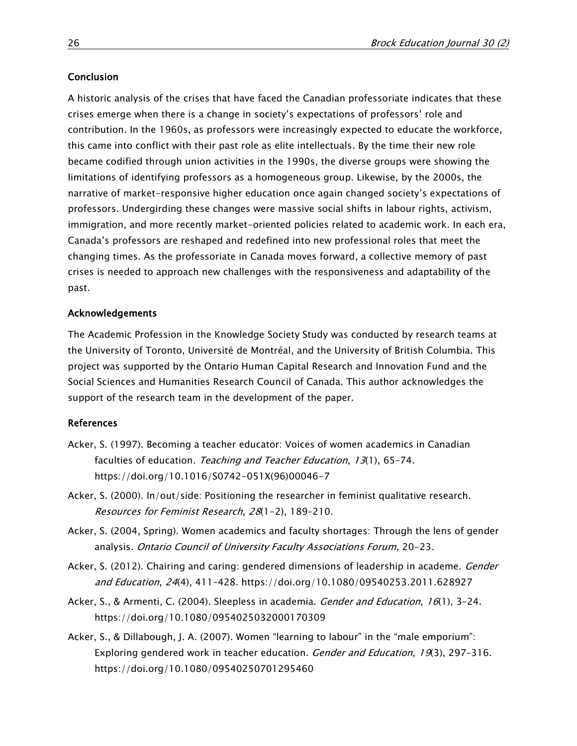### Conclusion

A historic analysis of the crises that have faced the Canadian professoriate indicates that these crises emerge when there is a change in society's expectations of professors' role and contribution. In the 1960s, as professors were increasingly expected to educate the workforce, this came into conflict with their past role as elite intellectuals. By the time their new role became codified through union activities in the 1990s, the diverse groups were showing the limitations of identifying professors as a homogeneous group. Likewise, by the 2000s, the narrative of market-responsive higher education once again changed society's expectations of professors. Undergirding these changes were massive social shifts in labour rights, activism, immigration, and more recently market-oriented policies related to academic work. In each era, Canada's professors are reshaped and redefined into new professional roles that meet the changing times. As the professoriate in Canada moves forward, a collective memory of past crises is needed to approach new challenges with the responsiveness and adaptability of the past.

#### Acknowledgements

The Academic Profession in the Knowledge Society Study was conducted by research teams at the University of Toronto, Université de Montréal, and the University of British Columbia. This project was supported by the Ontario Human Capital Research and Innovation Fund and the Social Sciences and Humanities Research Council of Canada. This author acknowledges the support of the research team in the development of the paper.

#### References

- Acker, S. (1997). Becoming a teacher educator: Voices of women academics in Canadian faculties of education. Teaching and Teacher Education, 13(1), 65-74. [https://doi.org/10.1016/S0742-051X\(96\)00046-7](https://doi.org/10.1016/S0742-051X(96)00046-7)
- Acker, S. (2000). In/out/side: Positioning the researcher in feminist qualitative research. Resources for Feminist Research, 28(1-2), 189–210.
- Acker, S. (2004, Spring). Women academics and faculty shortages: Through the lens of gender analysis. Ontario Council of University Faculty Associations Forum, 20-23.
- Acker, S. (2012). Chairing and caring: gendered dimensions of leadership in academe. *Gender* and Education, 24(4), 411–428. <https://doi.org/10.1080/09540253.2011.628927>
- Acker, S., & Armenti, C. (2004). Sleepless in academia. *Gender and Education*, 16(1), 3-24. <https://doi.org/10.1080/0954025032000170309>
- Acker, S., & Dillabough, J. A. (2007). Women "learning to labour" in the "male emporium": Exploring gendered work in teacher education. Gender and Education, 19(3), 297-316. <https://doi.org/10.1080/09540250701295460>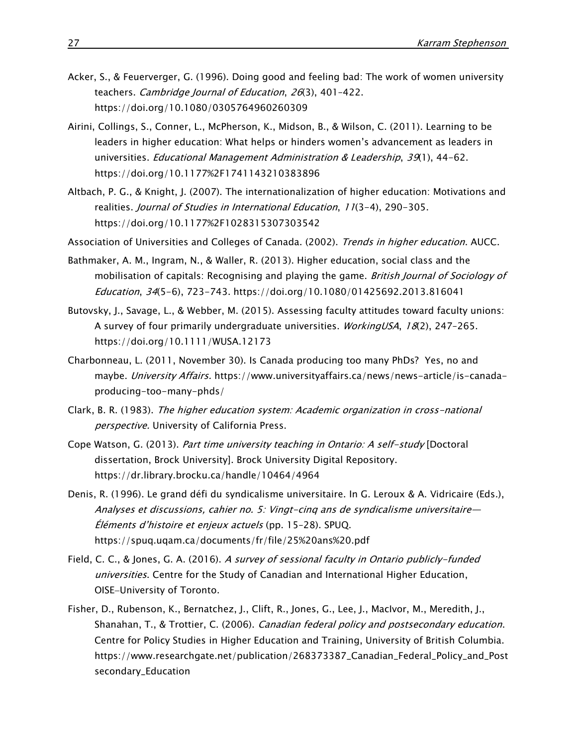- Acker, S., & Feuerverger, G. (1996). Doing good and feeling bad: The work of women university teachers. Cambridge Journal of Education, 26(3), 401-422. <https://doi.org/10.1080/0305764960260309>
- Airini, Collings, S., Conner, L., McPherson, K., Midson, B., & Wilson, C. (2011). Learning to be leaders in higher education: What helps or hinders women's advancement as leaders in universities. *Educational Management Administration & Leadership*, 39(1), 44-62. <https://doi.org/10.1177%2F1741143210383896>
- Altbach, P. G., & Knight, J. (2007). The internationalization of higher education: Motivations and realities. Journal of Studies in International Education, 11(3-4), 290-305. <https://doi.org/10.1177%2F1028315307303542>
- Association of Universities and Colleges of Canada. (2002). Trends in higher education. AUCC.
- Bathmaker, A. M., Ingram, N., & Waller, R. (2013). Higher education, social class and the mobilisation of capitals: Recognising and playing the game. British Journal of Sociology of Education, 34(5-6), 723-743. <https://doi.org/10.1080/01425692.2013.816041>
- Butovsky, J., Savage, L., & Webber, M. (2015). Assessing faculty attitudes toward faculty unions: A survey of four primarily undergraduate universities. WorkingUSA, 18(2), 247-265. <https://doi.org/10.1111/WUSA.12173>
- Charbonneau, L. (2011, November 30). Is Canada producing too many PhDs? Yes, no and maybe. University Affairs. [https://www.universityaffairs.ca/news/news-article/is-canada](https://www.universityaffairs.ca/news/news-article/is-canada-producing-too-many-phds/)[producing-too-many-phds/](https://www.universityaffairs.ca/news/news-article/is-canada-producing-too-many-phds/)
- Clark, B. R. (1983). The higher education system: Academic organization in cross-national perspective. University of California Press.
- Cope Watson, G. (2013). Part time university teaching in Ontario: A self-study [Doctoral dissertation, Brock University]. Brock University Digital Repository. <https://dr.library.brocku.ca/handle/10464/4964>
- Denis, R. (1996). Le grand défi du syndicalisme universitaire. In G. Leroux & A. Vidricaire (Eds.), Analyses et discussions, cahier no. 5: Vingt-cinq ans de syndicalisme universitaire— Éléments d'histoire et enjeux actuels (pp. 15–28). SPUQ. <https://spuq.uqam.ca/documents/fr/file/25%20ans%20.pdf>
- Field, C. C., & Jones, G. A. (2016). A survey of sessional faculty in Ontario publicly-funded universities. Centre for the Study of Canadian and International Higher Education, OISE-University of Toronto.
- Fisher, D., Rubenson, K., Bernatchez, J., Clift, R., Jones, G., Lee, J., MacIvor, M., Meredith, J., Shanahan, T., & Trottier, C. (2006). Canadian federal policy and postsecondary education. Centre for Policy Studies in Higher Education and Training, University of British Columbia. [https://www.researchgate.net/publication/268373387\\_Canadian\\_Federal\\_Policy\\_and\\_Post](https://www.researchgate.net/publication/268373387_Canadian_Federal_Policy_and_Postsecondary_Education) [secondary\\_Education](https://www.researchgate.net/publication/268373387_Canadian_Federal_Policy_and_Postsecondary_Education)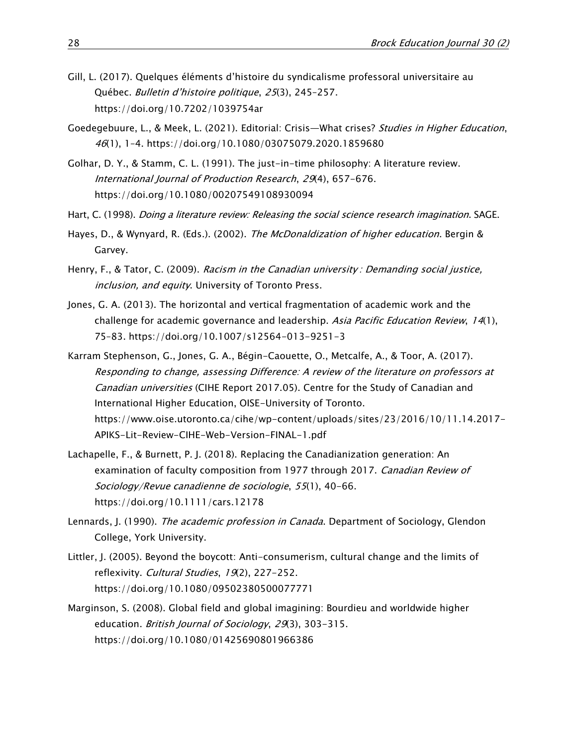- Gill, L. (2017). Quelques éléments d'histoire du syndicalisme professoral universitaire au Québec. Bulletin d'histoire politique, 25(3), 245–257. <https://doi.org/10.7202/1039754ar>
- Goedegebuure, L., & Meek, L. (2021). Editorial: Crisis—What crises? Studies in Higher Education, 46(1), 1–4. <https://doi.org/10.1080/03075079.2020.1859680>
- Golhar, D. Y., & Stamm, C. L. (1991). The just-in-time philosophy: A literature review. International Journal of Production Research, 29(4), 657-676. <https://doi.org/10.1080/00207549108930094>
- Hart, C. (1998). Doing a literature review: Releasing the social science research imagination. SAGE.
- Hayes, D., & Wynyard, R. (Eds.). (2002). The McDonaldization of higher education. Bergin & Garvey.
- Henry, F., & Tator, C. (2009). Racism in the Canadian university : Demanding social justice, inclusion, and equity. University of Toronto Press.
- Jones, G. A. (2013). The horizontal and vertical fragmentation of academic work and the challenge for academic governance and leadership. Asia Pacific Education Review, 14(1), 75–83. <https://doi.org/10.1007/s12564-013-9251-3>
- Karram Stephenson, G., Jones, G. A., Bégin-Caouette, O., Metcalfe, A., & Toor, A. (2017). Responding to change, assessing Difference: A review of the literature on professors at Canadian universities (CIHE Report 2017.05). Centre for the Study of Canadian and International Higher Education, OISE-University of Toronto. [https://www.oise.utoronto.ca/cihe/wp-content/uploads/sites/23/2016/10/11.14.2017-](https://www.oise.utoronto.ca/cihe/wp-content/uploads/sites/23/2016/10/11.14.2017-APIKS-Lit-Review-CIHE-Web-Version-FINAL-1.pdf) [APIKS-Lit-Review-CIHE-Web-Version-FINAL-1.pdf](https://www.oise.utoronto.ca/cihe/wp-content/uploads/sites/23/2016/10/11.14.2017-APIKS-Lit-Review-CIHE-Web-Version-FINAL-1.pdf)
- Lachapelle, F., & Burnett, P. J. (2018). Replacing the Canadianization generation: An examination of faculty composition from 1977 through 2017. Canadian Review of Sociology/Revue canadienne de sociologie, 55(1), 40-66. <https://doi.org/10.1111/cars.12178>
- Lennards, J. (1990). *The academic profession in Canada*. Department of Sociology, Glendon College, York University.
- Littler, J. (2005). Beyond the boycott: Anti-consumerism, cultural change and the limits of reflexivity. Cultural Studies, 19(2), 227-252. <https://doi.org/10.1080/09502380500077771>
- Marginson, S. (2008). Global field and global imagining: Bourdieu and worldwide higher education. British Journal of Sociology, 29(3), 303-315. <https://doi.org/10.1080/01425690801966386>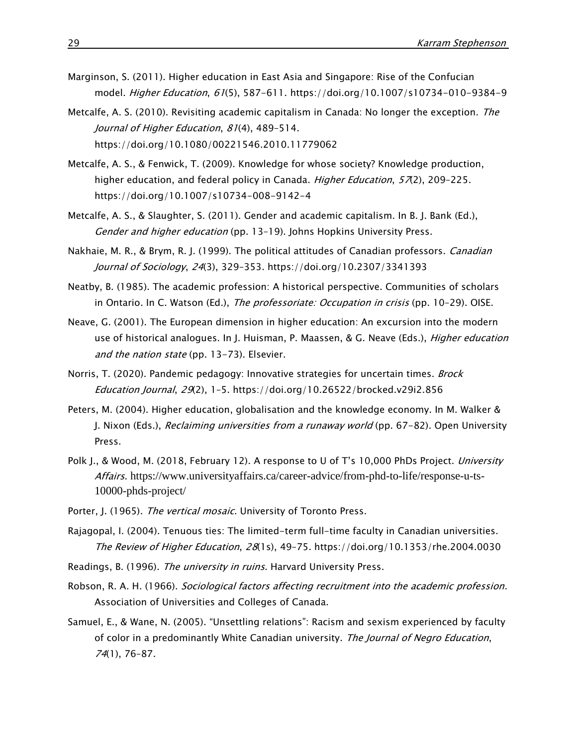- Marginson, S. (2011). Higher education in East Asia and Singapore: Rise of the Confucian model. Higher Education, 61(5), 587-611.<https://doi.org/10.1007/s10734-010-9384-9>
- Metcalfe, A. S. (2010). Revisiting academic capitalism in Canada: No longer the exception. The Journal of Higher Education, 81(4), 489-514. <https://doi.org/10.1080/00221546.2010.11779062>
- Metcalfe, A. S., & Fenwick, T. (2009). Knowledge for whose society? Knowledge production, higher education, and federal policy in Canada. Higher Education, 57(2), 209-225. <https://doi.org/10.1007/s10734-008-9142-4>
- Metcalfe, A. S., & Slaughter, S. (2011). Gender and academic capitalism. In B. J. Bank (Ed.), Gender and higher education (pp. 13-19). Johns Hopkins University Press.
- Nakhaie, M. R., & Brym, R. J. (1999). The political attitudes of Canadian professors. *Canadian* Journal of Sociology, 24(3), 329–353. <https://doi.org/10.2307/3341393>
- Neatby, B. (1985). The academic profession: A historical perspective. Communities of scholars in Ontario. In C. Watson (Ed.), The professoriate: Occupation in crisis (pp. 10-29). OISE.
- Neave, G. (2001). The European dimension in higher education: An excursion into the modern use of historical analogues. In J. Huisman, P. Maassen, & G. Neave (Eds.), *Higher education* and the nation state (pp. 13-73). Elsevier.
- Norris, T. (2020). Pandemic pedagogy: Innovative strategies for uncertain times. Brock Education Journal, 29(2), 1–5. <https://doi.org/10.26522/brocked.v29i2.856>
- Peters, M. (2004). Higher education, globalisation and the knowledge economy. In M. Walker & J. Nixon (Eds.), Reclaiming universities from a runaway world (pp. 67-82). Open University Press.
- Polk J., & Wood, M. (2018, February 12). A response to U of T's 10,000 PhDs Project. University Affairs. [https://www.universityaffairs.ca/career-advice/from-phd-to-life/response-u-ts-](https://www.universityaffairs.ca/career-advice/from-phd-to-life/response-u-ts-10000-phds-project/)[10000-phds-project/](https://www.universityaffairs.ca/career-advice/from-phd-to-life/response-u-ts-10000-phds-project/)
- Porter, J. (1965). The vertical mosaic. University of Toronto Press.
- Rajagopal, I. (2004). Tenuous ties: The limited-term full-time faculty in Canadian universities. The Review of Higher Education, 28(1s), 49–75. <https://doi.org/10.1353/rhe.2004.0030>
- Readings, B. (1996). The university in ruins. Harvard University Press.
- Robson, R. A. H. (1966). Sociological factors affecting recruitment into the academic profession. Association of Universities and Colleges of Canada.
- Samuel, E., & Wane, N. (2005). "Unsettling relations": Racism and sexism experienced by faculty of color in a predominantly White Canadian university. The Journal of Negro Education, 74(1), 76–87.